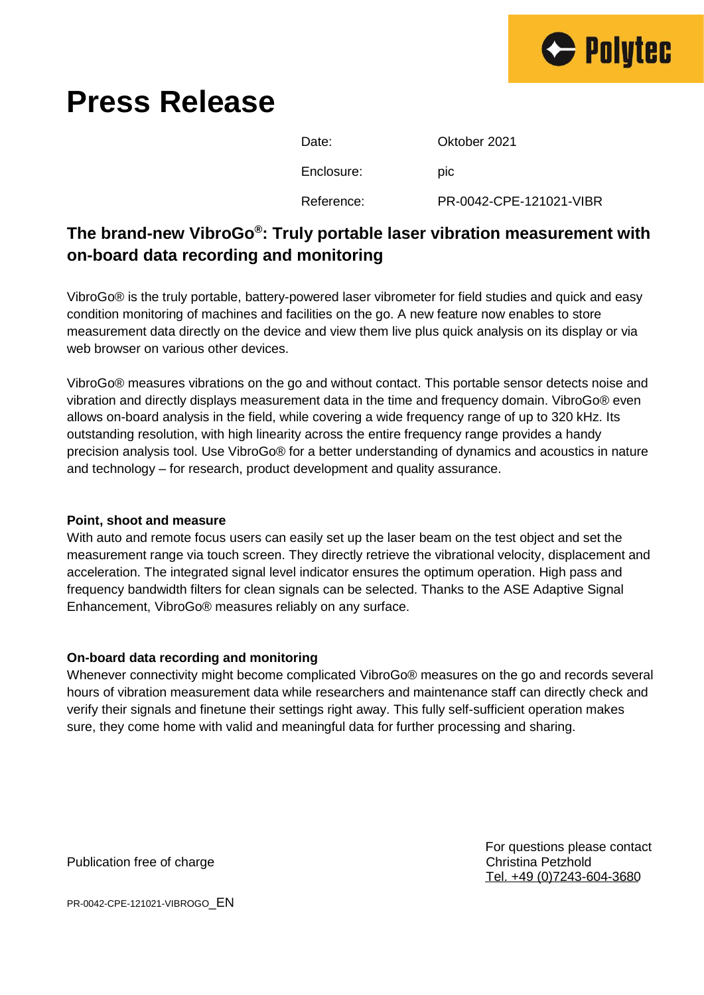

# **Press Release**

| Date:      | Oktober 2021            |
|------------|-------------------------|
| Enclosure: | <b>DIC</b>              |
| Reference: | PR-0042-CPE-121021-VIBR |

## **The brand-new VibroGo® : Truly portable laser vibration measurement with on-board data recording and monitoring**

VibroGo® is the truly portable, battery-powered laser vibrometer for field studies and quick and easy condition monitoring of machines and facilities on the go. A new feature now enables to store measurement data directly on the device and view them live plus quick analysis on its display or via web browser on various other devices.

VibroGo® measures vibrations on the go and without contact. This portable sensor detects noise and vibration and directly displays measurement data in the time and frequency domain. VibroGo® even allows on-board analysis in the field, while covering a wide frequency range of up to 320 kHz. Its outstanding resolution, with high linearity across the entire frequency range provides a handy precision analysis tool. Use VibroGo® for a better understanding of dynamics and acoustics in nature and technology – for research, product development and quality assurance.

#### **Point, shoot and measure**

With auto and remote focus users can easily set up the laser beam on the test object and set the measurement range via touch screen. They directly retrieve the vibrational velocity, displacement and acceleration. The integrated signal level indicator ensures the optimum operation. High pass and frequency bandwidth filters for clean signals can be selected. Thanks to the ASE Adaptive Signal Enhancement, VibroGo® measures reliably on any surface.

### **On-board data recording and monitoring**

Whenever connectivity might become complicated VibroGo® measures on the go and records several hours of vibration measurement data while researchers and maintenance staff can directly check and verify their signals and finetune their settings right away. This fully self-sufficient operation makes sure, they come home with valid and meaningful data for further processing and sharing.

Publication free of charge Christian Petzhold Christina Petzhold

For questions please contact Tel. +49 (0)7243-604-3680

PR-0042-CPE-121021-VIBROGO\_EN